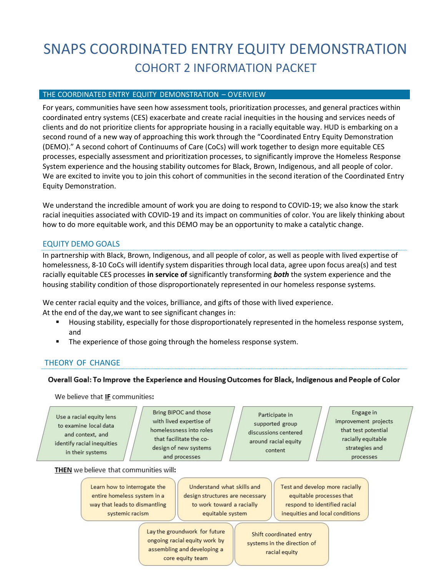# SNAPS COORDINATED ENTRY EQUITY DEMONSTRATION COHORT 2 INFORMATION PACKET

#### THE COORDINATED ENTRY EQUITY DEMONSTRATION – OVERVIEW

For years, communities have seen how assessment tools, prioritization processes, and general practices within coordinated entry systems (CES) exacerbate and create racial inequities in the housing and services needs of clients and do not prioritize clients for appropriate housing in a racially equitable way. HUD is embarking on a second round of a new way of approaching this work through the "Coordinated Entry Equity Demonstration (DEMO)." A second cohort of Continuums of Care (CoCs) will work together to design more equitable CES processes, especially assessment and prioritization processes, to significantly improve the Homeless Response System experience and the housing stability outcomes for Black, Brown, Indigenous, and all people of color. We are excited to invite you to join this cohort of communities in the second iteration of the Coordinated Entry Equity Demonstration.

We understand the incredible amount of work you are doing to respond to COVID-19; we also know the stark racial inequities associated with COVID-19 and its impact on communities of color. You are likely thinking about how to do more equitable work, and this DEMO may be an opportunity to make a catalytic change.

# EQUITY DEMO GOALS

In partnership with Black, Brown, Indigenous, and all people of color, as well as people with lived expertise of homelessness, 8-10 CoCs will identify system disparities through local data, agree upon focus area(s) and test racially equitable CES processes **in service of** significantly transforming *both* the system experience and the housing stability condition of those disproportionately represented in our homeless response systems.

We center racial equity and the voices, brilliance, and gifts of those with lived experience. At the end of the day, we want to see significant changes in:

- Housing stability, especially for those disproportionately represented in the homeless response system, and
- The experience of those going through the homeless response system.

# THEORY OF CHANGE

#### Overall Goal: To Improve the Experience and Housing Outcomes for Black, Indigenous and People of Color

We believe that IF communities:

Use a racial equity lens to examine local data and context, and identify racial inequities in their systems

Bring BIPOC and those with lived expertise of homelessness into roles that facilitate the codesign of new systems and processes

Participate in supported group discussions centered around racial equity content

Engage in improvement projects that test potential racially equitable strategies and processes

THEN we believe that communities will:

Learn how to interrogate the entire homeless system in a way that leads to dismantling systemic racism

Understand what skills and design structures are necessary to work toward a racially equitable system

Lay the groundwork for future ongoing racial equity work by assembling and developing a core equity team

Test and develop more racially equitable processes that respond to identified racial inequities and local conditions

Shift coordinated entry systems in the direction of<br>racial equity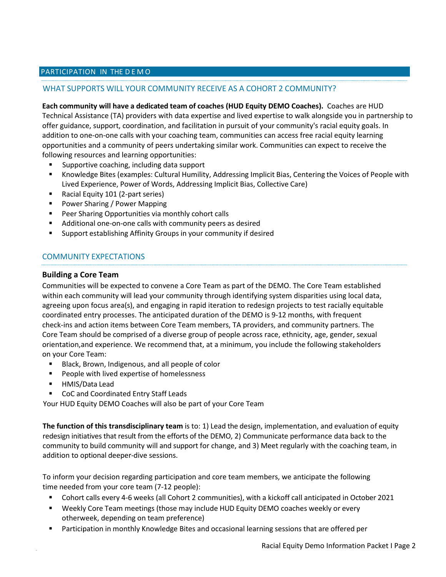## PARTICIPATION IN THE D E M O

## WHAT SUPPORTS WILL YOUR COMMUNITY RECEIVE AS A COHORT 2 COMMUNITY?

**Each community will have a dedicated team of coaches (HUD Equity DEMO Coaches).** Coaches are HUD Technical Assistance (TA) providers with data expertise and lived expertise to walk alongside you in partnership to offer guidance, support, coordination, and facilitation in pursuit of your community's racial equity goals. In addition to one-on-one calls with your coaching team, communities can access free racial equity learning opportunities and a community of peers undertaking similar work. Communities can expect to receive the following resources and learning opportunities:

- Supportive coaching, including data support
- Knowledge Bites (examples: Cultural Humility, Addressing Implicit Bias, Centering the Voices of People with Lived Experience, Power of Words, Addressing Implicit Bias, Collective Care)
- Racial Equity 101 (2-part series)
- **Power Sharing / Power Mapping**
- **Peer Sharing Opportunities via monthly cohort calls**
- Additional one-on-one calls with community peers as desired
- **Support establishing Affinity Groups in your community if desired**

# COMMUNITY EXPECTATIONS

#### **Building a Core Team**

Communities will be expected to convene a Core Team as part of the DEMO. The Core Team established within each community will lead your community through identifying system disparities using local data, agreeing upon focus area(s), and engaging in rapid iteration to redesign projects to test racially equitable coordinated entry processes. The anticipated duration of the DEMO is 9-12 months, with frequent check-ins and action items between Core Team members, TA providers, and community partners. The Core Team should be comprised of a diverse group of people across race, ethnicity, age, gender, sexual orientation, and experience. We recommend that, at a minimum, you include the following stakeholders on your Core Team:

- Black, Brown, Indigenous, and all people of color
- **People with lived expertise of homelessness**
- HMIS/Data Lead
- CoC and Coordinated Entry Staff Leads

Your HUD Equity DEMO Coaches will also be part of your Core Team

**The function of this transdisciplinary team** is to: 1) Lead the design, implementation, and evaluation of equity redesign initiatives that result from the efforts of the DEMO, 2) Communicate performance data back to the community to build community will and support for change, and 3) Meet regularly with the coaching team, in addition to optional deeper-dive sessions.

To inform your decision regarding participation and core team members, we anticipate the following time needed from your core team (7-12 people):

- Cohort calls every 4-6 weeks (all Cohort 2 communities), with a kickoff call anticipated in October 2021
- Weekly Core Team meetings (those may include HUD Equity DEMO coaches weekly or every otherweek, depending on team preference)
- **Participation in monthly Knowledge Bites and occasional learning sessions that are offered per**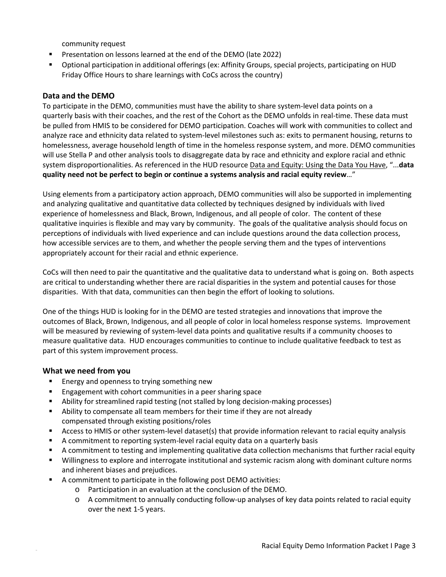community request

- **Presentation on lessons learned at the end of the DEMO (late 2022)**
- Optional participation in additional offerings (ex: Affinity Groups, special projects, participating on HUD Friday Office Hours to share learnings with CoCs across the country)

#### **Data and the DEMO**

To participate in the DEMO, communities must have the ability to share system-level data points on a quarterly basis with their coaches, and the rest of the Cohort as the DEMO unfolds in real-time. These data must be pulled from HMIS to be considered for DEMO participation. Coaches will work with communities to collect and analyze race and ethnicity data related to system-level milestones such as: exits to permanent housing, returns to homelessness, average household length of time in the homeless response system, and more. DEMO communities will use Stella P and other analysis tools to disaggregate data by race and ethnicity and explore racial and ethnic system disproportionalities. As referenced in the HUD resource Data and Equity: Using the Data You Have, "...**data quality need not be perfect to begin or continue a systems analysis and racial equity review**…"

Using elements from a participatory action approach, DEMO communities will also be supported in implementing and analyzing qualitative and quantitative data collected by techniques designed by individuals with lived experience of homelessness and Black, Brown, Indigenous, and all people of color. The content of these qualitative inquiries is flexible and may vary by community. The goals of the qualitative analysis should focus on perceptions of individuals with lived experience and can include questions around the data collection process, how accessible services are to them, and whether the people serving them and the types of interventions appropriately account for their racial and ethnic experience.

CoCs will then need to pair the quantitative and the qualitative data to understand what is going on. Both aspects are critical to understanding whether there are racial disparities in the system and potential causes for those disparities. With that data, communities can then begin the effort of looking to solutions.

One of the things HUD is looking for in the DEMO are tested strategies and innovations that improve the outcomes of Black, Brown, Indigenous, and all people of color in local homeless response systems. Improvement will be measured by reviewing of system-level data points and qualitative results if a community chooses to measure qualitative data. HUD encourages communities to continue to include qualitative feedback to test as part of this system improvement process.

# **What we need from you**

- **Energy and openness to trying something new**
- **Engagement with cohort communities in a peer sharing space**
- Ability for streamlined rapid testing (not stalled by long decision-making processes)
- Ability to compensate all team members for their time if they are not already compensated through existing positions/roles
- Access to HMIS or other system-level dataset(s) that provide information relevant to racial equity analysis
- A commitment to reporting system-level racial equity data on a quarterly basis
- A commitment to testing and implementing qualitative data collection mechanisms that further racial equity
- Willingness to explore and interrogate institutional and systemic racism along with dominant culture norms and inherent biases and prejudices.
- A commitment to participate in the following post DEMO activities:
	- o Participation in an evaluation at the conclusion of the DEMO.
		- o A commitment to annually conducting follow-up analyses of key data points related to racial equity over the next 1-5 years.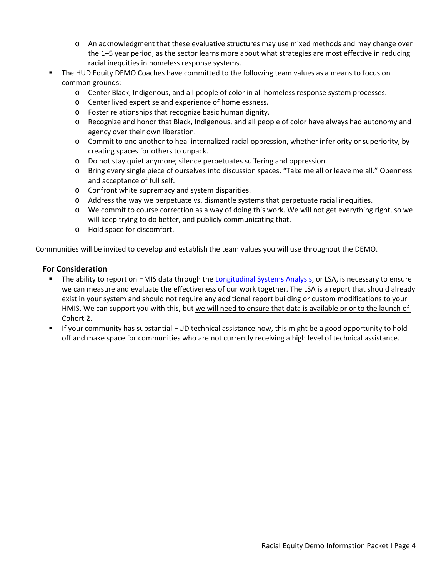- o An acknowledgment that these evaluative structures may use mixed methods and may change over the 1–5 year period, as the sector learns more about what strategies are most effective in reducing racial inequities in homeless response systems.
- The HUD Equity DEMO Coaches have committed to the following team values as a means to focus on common grounds:
	- o Center Black, Indigenous, and all people of color in all homeless response system processes.
	- o Center lived expertise and experience of homelessness.
	- o Foster relationships that recognize basic human dignity.
	- o Recognize and honor that Black, Indigenous, and all people of color have always had autonomy and agency over their own liberation.
	- o Commit to one another to heal internalized racial oppression, whether inferiority or superiority, by creating spaces for others to unpack.
	- o Do not stay quiet anymore; silence perpetuates suffering and oppression.
	- o Bring every single piece of ourselves into discussion spaces. "Take me all or leave me all." Openness and acceptance of full self.
	- o Confront white supremacy and system disparities.
	- o Address the way we perpetuate vs. dismantle systems that perpetuate racial inequities.
	- o We commit to course correction as a way of doing this work. We will not get everything right, so we will keep trying to do better, and publicly communicating that.
	- o Hold space for discomfort.

Communities will be invited to develop and establish the team values you will use throughout the DEMO.

# **For Consideration**

- The ability to report on HMIS data through the Longitudinal Systems Analysis, or LSA, is necessary to ensure we can measure and evaluate the effectiveness of our work together. The LSA is a report that should already exist in your system and should not require any additional report building or custom modifications to your HMIS. We can support you with this, but we will need to ensure that data is available prior to the launch of Cohort 2.
- If your community has substantial HUD technical assistance now, this might be a good opportunity to hold off and make space for communities who are not currently receiving a high level of technical assistance.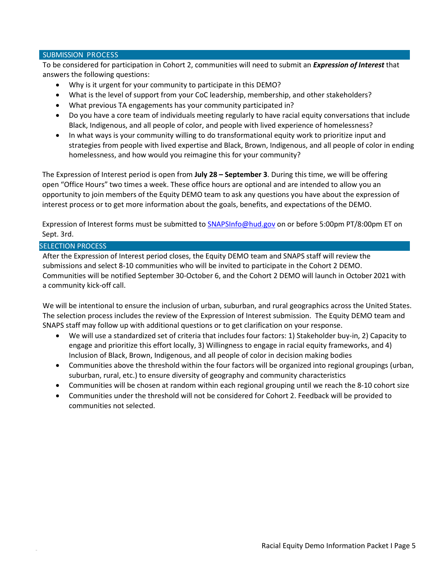#### SUBMISSION PROCESS

To be considered for participation in Cohort 2, communities will need to submit an *Expression of Interest* that answers the following questions:

- Why is it urgent for your community to participate in this DEMO?
- What is the level of support from your CoC leadership, membership, and other stakeholders?
- What previous TA engagements has your community participated in?
- Do you have a core team of individuals meeting regularly to have racial equity conversations that include Black, Indigenous, and all people of color, and people with lived experience of homelessness?
- In what ways is your community willing to do transformational equity work to prioritize input and strategies from people with lived expertise and Black, Brown, Indigenous, and all people of color in ending homelessness, and how would you reimagine this for your community?

The Expression of Interest period is open from **July 28 – September 3**. During this time, we will be offering open "Office Hours" two times a week. These office hours are optional and are intended to allow you an opportunity to join members of the Equity DEMO team to ask any questions you have about the expression of interest process or to get more information about the goals, benefits, and expectations of the DEMO.

Expression of Interest forms must be submitted to SNAPSInfo@hud.gov on or before 5:00pm PT/8:00pm ET on Sept. 3rd.

#### SELECTION PROCESS

After the Expression of Interest period closes, the Equity DEMO team and SNAPS staff will review the submissions and select 8-10 communities who will be invited to participate in the Cohort 2 DEMO. Communities will be notified September 30-October 6, and the Cohort 2 DEMO will launch in October 2021 with a community kick-off call.

We will be intentional to ensure the inclusion of urban, suburban, and rural geographics across the United States. The selection process includes the review of the Expression of Interest submission. The Equity DEMO team and SNAPS staff may follow up with additional questions or to get clarification on your response.

- We will use a standardized set of criteria that includes four factors: 1) Stakeholder buy-in, 2) Capacity to engage and prioritize this effort locally, 3) Willingness to engage in racial equity frameworks, and 4) Inclusion of Black, Brown, Indigenous, and all people of color in decision making bodies
- Communities above the threshold within the four factors will be organized into regional groupings (urban, suburban, rural, etc.) to ensure diversity of geography and community characteristics
- Communities will be chosen at random within each regional grouping until we reach the 8-10 cohort size
- Communities under the threshold will not be considered for Cohort 2. Feedback will be provided to communities not selected.